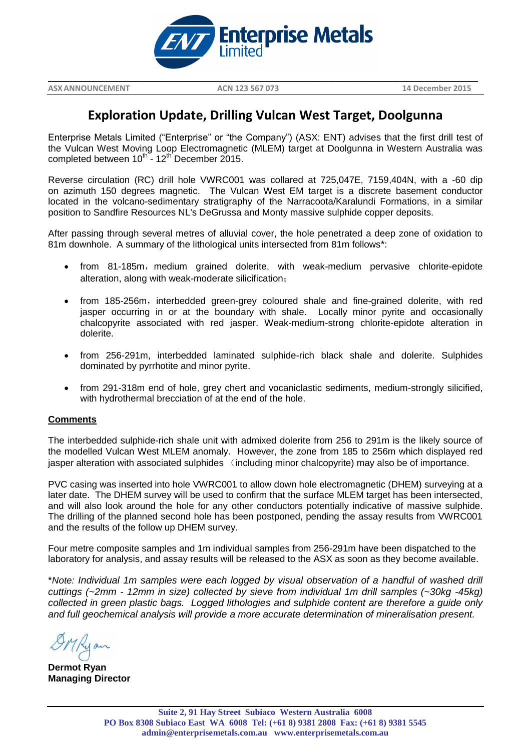

**ASXANNOUNCEMENT ACN 123 567 073 14 December 2015**

## **Exploration Update, Drilling Vulcan West Target, Doolgunna**

**\_\_\_\_\_\_\_\_\_\_\_\_\_\_\_\_\_\_\_\_\_\_\_\_\_\_\_\_\_\_\_\_\_\_\_\_\_\_\_\_\_\_\_\_\_\_\_\_\_\_\_\_\_\_\_\_\_\_\_\_\_\_\_\_\_\_\_\_\_\_\_\_\_\_\_\_\_\_\_\_\_\_\_\_\_\_\_\_\_\_\_\_\_\_\_\_\_\_\_\_\_\_\_\_\_\_\_\_\_\_\_\_\_\_\_\_\_\_\_\_\_**

Enterprise Metals Limited ("Enterprise" or "the Company") (ASX: ENT) advises that the first drill test of the Vulcan West Moving Loop Electromagnetic (MLEM) target at Doolgunna in Western Australia was completed between  $10^{th}$  -  $12^{th}$  December 2015.

Reverse circulation (RC) drill hole VWRC001 was collared at 725,047E, 7159,404N, with a -60 dip on azimuth 150 degrees magnetic. The Vulcan West EM target is a discrete basement conductor located in the volcano-sedimentary stratigraphy of the Narracoota/Karalundi Formations, in a similar position to Sandfire Resources NL's DeGrussa and Monty massive sulphide copper deposits.

After passing through several metres of alluvial cover, the hole penetrated a deep zone of oxidation to 81m downhole. A summary of the lithological units intersected from 81m follows\*:

- from 81-185m, medium grained dolerite, with weak-medium pervasive chlorite-epidote alteration, along with weak-moderate silicification;
- from 185-256m, interbedded green-grey coloured shale and fine-grained dolerite, with red jasper occurring in or at the boundary with shale. Locally minor pyrite and occasionally chalcopyrite associated with red jasper. Weak-medium-strong chlorite-epidote alteration in dolerite.
- from 256-291m, interbedded laminated sulphide-rich black shale and dolerite. Sulphides dominated by pyrrhotite and minor pyrite.
- from 291-318m end of hole, grey chert and vocaniclastic sediments, medium-strongly silicified, with hydrothermal brecciation of at the end of the hole.

## **Comments**

The interbedded sulphide-rich shale unit with admixed dolerite from 256 to 291m is the likely source of the modelled Vulcan West MLEM anomaly. However, the zone from 185 to 256m which displayed red jasper alteration with associated sulphides (including minor chalcopyrite) may also be of importance.

PVC casing was inserted into hole VWRC001 to allow down hole electromagnetic (DHEM) surveying at a later date. The DHEM survey will be used to confirm that the surface MLEM target has been intersected, and will also look around the hole for any other conductors potentially indicative of massive sulphide. The drilling of the planned second hole has been postponed, pending the assay results from VWRC001 and the results of the follow up DHEM survey.

Four metre composite samples and 1m individual samples from 256-291m have been dispatched to the laboratory for analysis, and assay results will be released to the ASX as soon as they become available.

\**Note: Individual 1m samples were each logged by visual observation of a handful of washed drill cuttings (~2mm - 12mm in size) collected by sieve from individual 1m drill samples (~30kg -45kg) collected in green plastic bags. Logged lithologies and sulphide content are therefore a guide only and full geochemical analysis will provide a more accurate determination of mineralisation present.*

Kyan

**Dermot Ryan Managing Director**